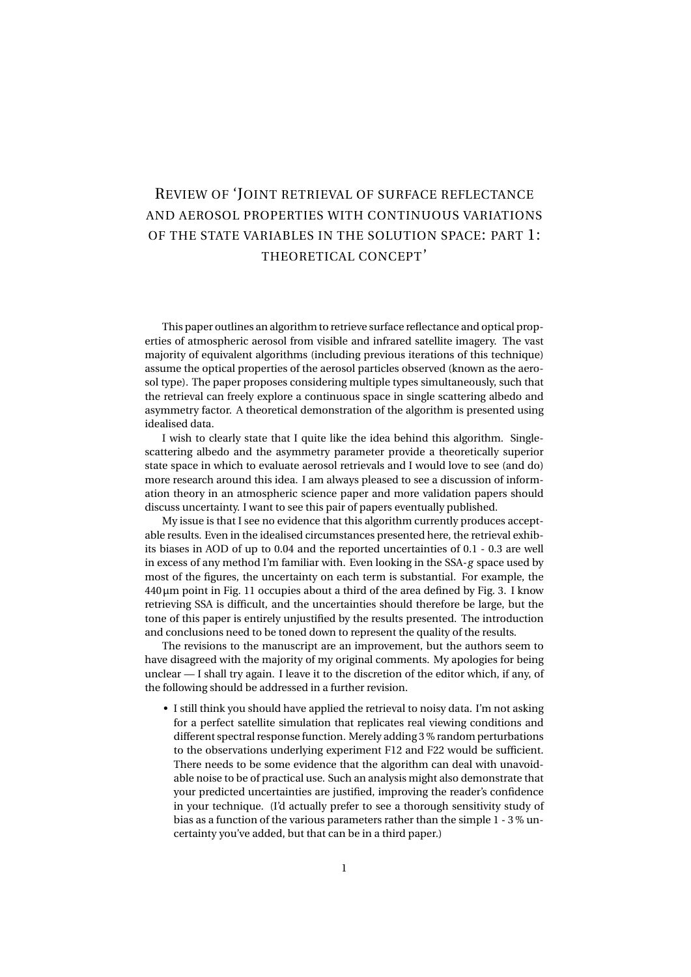## REVIEW OF 'JOINT RETRIEVAL OF SURFACE REFLECTANCE AND AEROSOL PROPERTIES WITH CONTINUOUS VARIATIONS OF THE STATE VARIABLES IN THE SOLUTION SPACE: PART 1: THEORETICAL CONCEPT'

This paper outlines an algorithm to retrieve surface reflectance and optical properties of atmospheric aerosol from visible and infrared satellite imagery. The vast majority of equivalent algorithms (including previous iterations of this technique) assume the optical properties of the aerosol particles observed (known as the aerosol type). The paper proposes considering multiple types simultaneously, such that the retrieval can freely explore a continuous space in single scattering albedo and asymmetry factor. A theoretical demonstration of the algorithm is presented using idealised data.

I wish to clearly state that I quite like the idea behind this algorithm. Singlescattering albedo and the asymmetry parameter provide a theoretically superior state space in which to evaluate aerosol retrievals and I would love to see (and do) more research around this idea. I am always pleased to see a discussion of information theory in an atmospheric science paper and more validation papers should discuss uncertainty. I want to see this pair of papers eventually published.

My issue is that I see no evidence that this algorithm currently produces acceptable results. Even in the idealised circumstances presented here, the retrieval exhibits biases in AOD of up to 0.04 and the reported uncertainties of 0.1 - 0.3 are well in excess of any method I'm familiar with. Even looking in the SSA-*g* space used by most of the figures, the uncertainty on each term is substantial. For example, the  $440 \mu m$  point in Fig. 11 occupies about a third of the area defined by Fig. 3. I know retrieving SSA is difficult, and the uncertainties should therefore be large, but the tone of this paper is entirely unjustified by the results presented. The introduction and conclusions need to be toned down to represent the quality of the results.

The revisions to the manuscript are an improvement, but the authors seem to have disagreed with the majority of my original comments. My apologies for being unclear — I shall try again. I leave it to the discretion of the editor which, if any, of the following should be addressed in a further revision.

• I still think you should have applied the retrieval to noisy data. I'm not asking for a perfect satellite simulation that replicates real viewing conditions and different spectral response function. Merely adding 3 % random perturbations to the observations underlying experiment F12 and F22 would be sufficient. There needs to be some evidence that the algorithm can deal with unavoidable noise to be of practical use. Such an analysis might also demonstrate that your predicted uncertainties are justified, improving the reader's confidence in your technique. (I'd actually prefer to see a thorough sensitivity study of bias as a function of the various parameters rather than the simple 1 - 3 % uncertainty you've added, but that can be in a third paper.)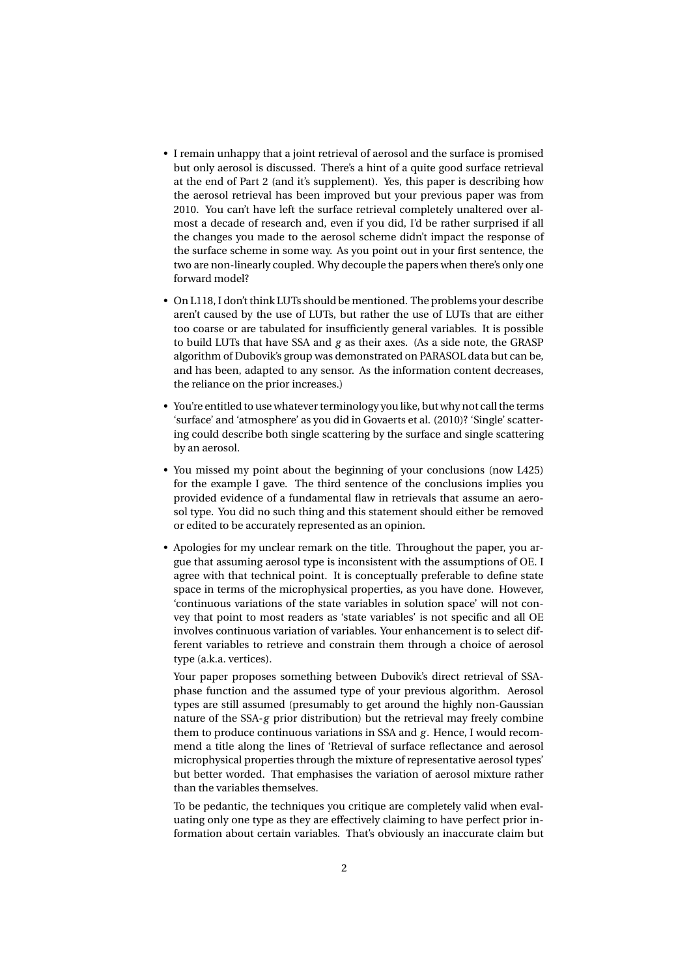- I remain unhappy that a joint retrieval of aerosol and the surface is promised but only aerosol is discussed. There's a hint of a quite good surface retrieval at the end of Part 2 (and it's supplement). Yes, this paper is describing how the aerosol retrieval has been improved but your previous paper was from 2010. You can't have left the surface retrieval completely unaltered over almost a decade of research and, even if you did, I'd be rather surprised if all the changes you made to the aerosol scheme didn't impact the response of the surface scheme in some way. As you point out in your first sentence, the two are non-linearly coupled. Why decouple the papers when there's only one forward model?
- On L118, I don't think LUTs should be mentioned. The problems your describe aren't caused by the use of LUTs, but rather the use of LUTs that are either too coarse or are tabulated for insufficiently general variables. It is possible to build LUTs that have SSA and *g* as their axes. (As a side note, the GRASP algorithm of Dubovik's group was demonstrated on PARASOL data but can be, and has been, adapted to any sensor. As the information content decreases, the reliance on the prior increases.)
- You're entitled to use whatever terminology you like, but why not call the terms 'surface' and 'atmosphere' as you did in Govaerts et al. (2010)? 'Single' scattering could describe both single scattering by the surface and single scattering by an aerosol.
- You missed my point about the beginning of your conclusions (now L425) for the example I gave. The third sentence of the conclusions implies you provided evidence of a fundamental flaw in retrievals that assume an aerosol type. You did no such thing and this statement should either be removed or edited to be accurately represented as an opinion.
- Apologies for my unclear remark on the title. Throughout the paper, you argue that assuming aerosol type is inconsistent with the assumptions of OE. I agree with that technical point. It is conceptually preferable to define state space in terms of the microphysical properties, as you have done. However, 'continuous variations of the state variables in solution space' will not convey that point to most readers as 'state variables' is not specific and all OE involves continuous variation of variables. Your enhancement is to select different variables to retrieve and constrain them through a choice of aerosol type (a.k.a. vertices).

Your paper proposes something between Dubovik's direct retrieval of SSAphase function and the assumed type of your previous algorithm. Aerosol types are still assumed (presumably to get around the highly non-Gaussian nature of the SSA-*g* prior distribution) but the retrieval may freely combine them to produce continuous variations in SSA and *g*. Hence, I would recommend a title along the lines of 'Retrieval of surface reflectance and aerosol microphysical properties through the mixture of representative aerosol types' but better worded. That emphasises the variation of aerosol mixture rather than the variables themselves.

To be pedantic, the techniques you critique are completely valid when evaluating only one type as they are effectively claiming to have perfect prior information about certain variables. That's obviously an inaccurate claim but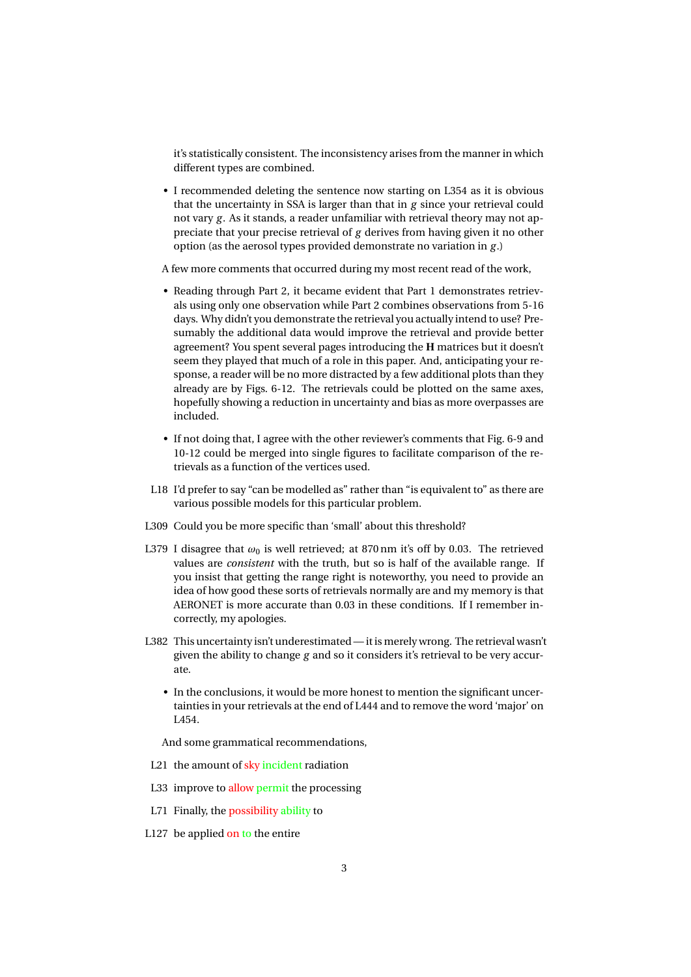it's statistically consistent. The inconsistency arises from the manner in which different types are combined.

• I recommended deleting the sentence now starting on L354 as it is obvious that the uncertainty in SSA is larger than that in *g* since your retrieval could not vary *g* . As it stands, a reader unfamiliar with retrieval theory may not appreciate that your precise retrieval of *g* derives from having given it no other option (as the aerosol types provided demonstrate no variation in *g* .)

A few more comments that occurred during my most recent read of the work,

- Reading through Part 2, it became evident that Part 1 demonstrates retrievals using only one observation while Part 2 combines observations from 5-16 days. Why didn't you demonstrate the retrieval you actually intend to use? Presumably the additional data would improve the retrieval and provide better agreement? You spent several pages introducing the **H** matrices but it doesn't seem they played that much of a role in this paper. And, anticipating your response, a reader will be no more distracted by a few additional plots than they already are by Figs. 6-12. The retrievals could be plotted on the same axes, hopefully showing a reduction in uncertainty and bias as more overpasses are included.
- If not doing that, I agree with the other reviewer's comments that Fig. 6-9 and 10-12 could be merged into single figures to facilitate comparison of the retrievals as a function of the vertices used.
- L18 I'd prefer to say "can be modelled as" rather than "is equivalent to" as there are various possible models for this particular problem.
- L309 Could you be more specific than 'small' about this threshold?
- L379 I disagree that  $\omega_0$  is well retrieved; at 870 nm it's off by 0.03. The retrieved values are *consistent* with the truth, but so is half of the available range. If you insist that getting the range right is noteworthy, you need to provide an idea of how good these sorts of retrievals normally are and my memory is that AERONET is more accurate than 0.03 in these conditions. If I remember incorrectly, my apologies.
- L382 This uncertainty isn't underestimated it is merely wrong. The retrieval wasn't given the ability to change *g* and so it considers it's retrieval to be very accurate.
	- In the conclusions, it would be more honest to mention the significant uncertainties in your retrievals at the end of L444 and to remove the word 'major' on L454.

And some grammatical recommendations,

- L21 the amount of sky incident radiation
- L33 improve to allow permit the processing
- L71 Finally, the possibility ability to
- L127 be applied on to the entire